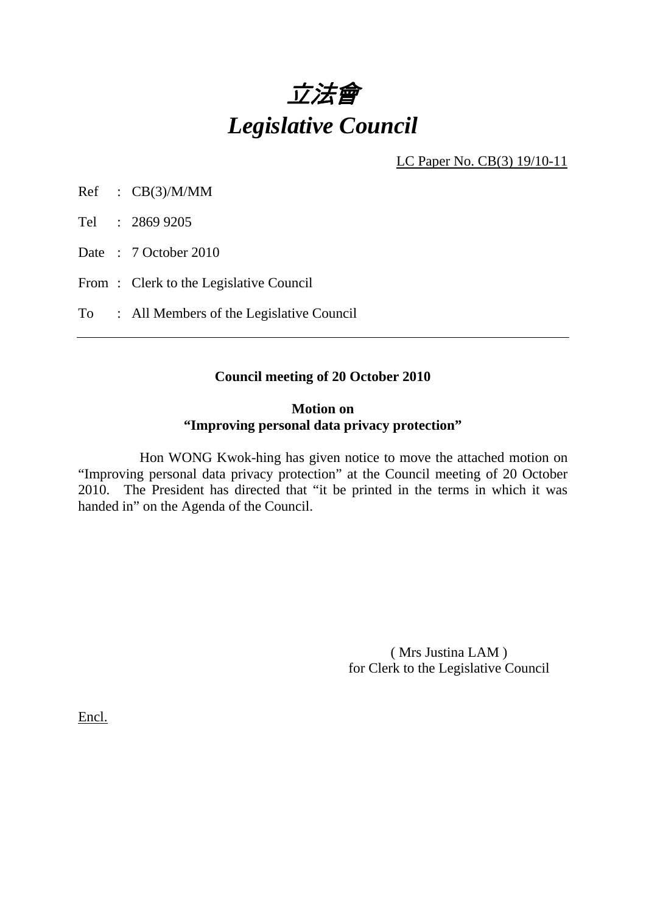

LC Paper No. CB(3) 19/10-11

Ref : CB(3)/M/MM

Tel : 2869 9205

Date: 7 October 2010

From: Clerk to the Legislative Council

To : All Members of the Legislative Council

# **Council meeting of 20 October 2010**

## **Motion on "Improving personal data privacy protection"**

 Hon WONG Kwok-hing has given notice to move the attached motion on "Improving personal data privacy protection" at the Council meeting of 20 October 2010. The President has directed that "it be printed in the terms in which it was handed in" on the Agenda of the Council.

> ( Mrs Justina LAM ) for Clerk to the Legislative Council

Encl.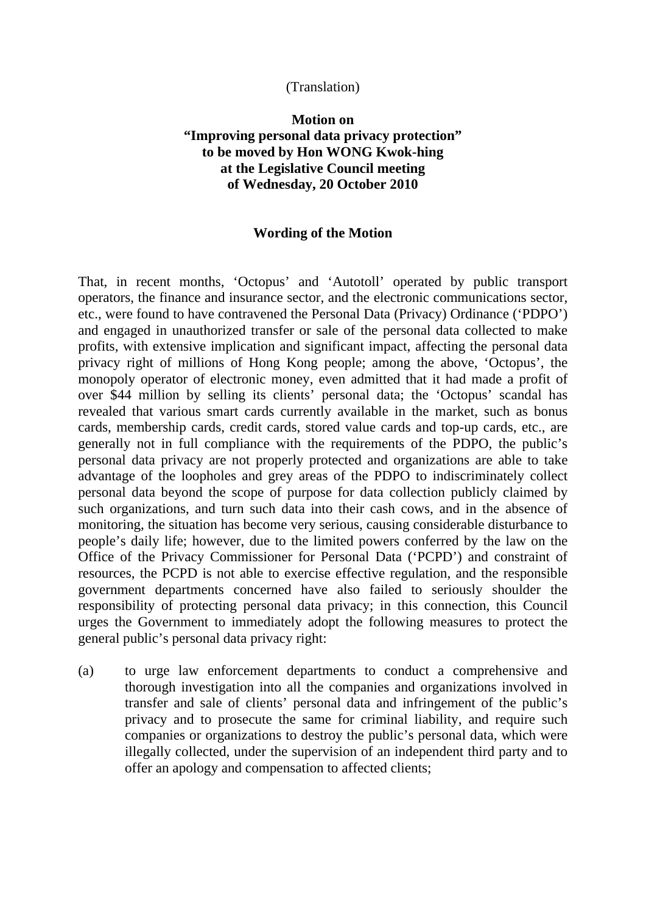### (Translation)

## **Motion on "Improving personal data privacy protection" to be moved by Hon WONG Kwok-hing at the Legislative Council meeting of Wednesday, 20 October 2010**

#### **Wording of the Motion**

That, in recent months, 'Octopus' and 'Autotoll' operated by public transport operators, the finance and insurance sector, and the electronic communications sector, etc., were found to have contravened the Personal Data (Privacy) Ordinance ('PDPO') and engaged in unauthorized transfer or sale of the personal data collected to make profits, with extensive implication and significant impact, affecting the personal data privacy right of millions of Hong Kong people; among the above, 'Octopus', the monopoly operator of electronic money, even admitted that it had made a profit of over \$44 million by selling its clients' personal data; the 'Octopus' scandal has revealed that various smart cards currently available in the market, such as bonus cards, membership cards, credit cards, stored value cards and top-up cards, etc., are generally not in full compliance with the requirements of the PDPO, the public's personal data privacy are not properly protected and organizations are able to take advantage of the loopholes and grey areas of the PDPO to indiscriminately collect personal data beyond the scope of purpose for data collection publicly claimed by such organizations, and turn such data into their cash cows, and in the absence of monitoring, the situation has become very serious, causing considerable disturbance to people's daily life; however, due to the limited powers conferred by the law on the Office of the Privacy Commissioner for Personal Data ('PCPD') and constraint of resources, the PCPD is not able to exercise effective regulation, and the responsible government departments concerned have also failed to seriously shoulder the responsibility of protecting personal data privacy; in this connection, this Council urges the Government to immediately adopt the following measures to protect the general public's personal data privacy right:

(a) to urge law enforcement departments to conduct a comprehensive and thorough investigation into all the companies and organizations involved in transfer and sale of clients' personal data and infringement of the public's privacy and to prosecute the same for criminal liability, and require such companies or organizations to destroy the public's personal data, which were illegally collected, under the supervision of an independent third party and to offer an apology and compensation to affected clients;